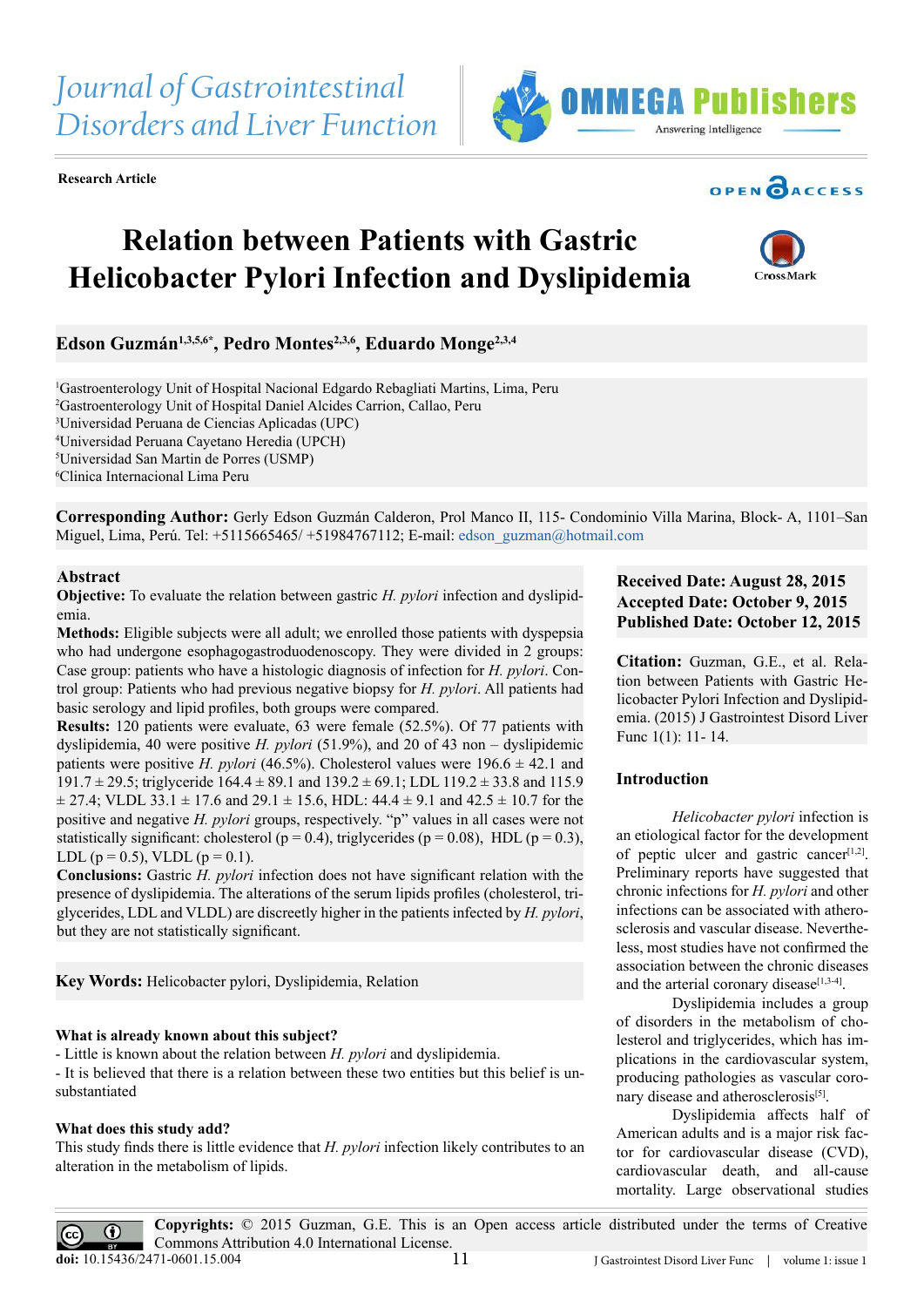**Research Article**

# **Relation between Patients with Gastric Helicobacter Pylori Infection and Dyslipidemia**

Edson Guzmán<sup>1,3,5,6\*</sup>, Pedro Montes<sup>2,3,6</sup>, Eduardo Monge<sup>2,3,4</sup>

 Gastroenterology Unit of Hospital Nacional Edgardo Rebagliati Martins, Lima, Peru Gastroenterology Unit of Hospital Daniel Alcides Carrion, Callao, Peru Universidad Peruana de Ciencias Aplicadas (UPC) Universidad Peruana Cayetano Heredia (UPCH) Universidad San Martin de Porres (USMP) Clinica Internacional Lima Peru

**Corresponding Author:** Gerly Edson Guzmán Calderon, Prol Manco II, 115- Condominio Villa Marina, Block- A, 1101–San Miguel, Lima, Perú. Tel:  $+5115665465/+51984767112$ ; E-mail: [edson\\_guzman@hotmail.com](mailto:edson_guzman@hotmail.com)

### **Abstract**

**Objective:** To evaluate the relation between gastric *H. pylori* infection and dyslipidemia.

**Methods:** Eligible subjects were all adult; we enrolled those patients with dyspepsia who had undergone esophagogastroduodenoscopy. They were divided in 2 groups: Case group: patients who have a histologic diagnosis of infection for *H. pylori*. Control group: Patients who had previous negative biopsy for *H. pylori*. All patients had basic serology and lipid profiles, both groups were compared.

**Results:** 120 patients were evaluate, 63 were female (52.5%). Of 77 patients with dyslipidemia, 40 were positive *H. pylori* (51.9%), and 20 of 43 non – dyslipidemic patients were positive *H. pylori* (46.5%). Cholesterol values were  $196.6 \pm 42.1$  and 191.7  $\pm$  29.5; triglyceride 164.4  $\pm$  89.1 and 139.2  $\pm$  69.1; LDL 119.2  $\pm$  33.8 and 115.9  $\pm$  27.4; VLDL 33.1  $\pm$  17.6 and 29.1  $\pm$  15.6, HDL: 44.4  $\pm$  9.1 and 42.5  $\pm$  10.7 for the positive and negative *H. pylori* groups, respectively. "p" values in all cases were not statistically significant: cholesterol ( $p = 0.4$ ), triglycerides ( $p = 0.08$ ), HDL ( $p = 0.3$ ), LDL ( $p = 0.5$ ), VLDL ( $p = 0.1$ ).

**Conclusions:** Gastric *H. pylori* infection does not have significant relation with the presence of dyslipidemia. The alterations of the serum lipids profiles (cholesterol, triglycerides, LDL and VLDL) are discreetly higher in the patients infected by *H. pylori*, but they are not statistically significant.

**Key Words:** Helicobacter pylori, Dyslipidemia, Relation

#### **What is already known about this subject?**

- Little is known about the relation between *H. pylori* and dyslipidemia.

- It is believed that there is a relation between these two entities but this belief is unsubstantiated

#### **What does this study add?**

This study finds there is little evidence that *H. pylori* infection likely contributes to an alteration in the metabolism of lipids.

## **Received Date: August 28, 2015 Accepted Date: October 9, 2015 Published Date: October 12, 2015**

**Citation:** Guzman, G.E., et al. Relation between Patients with Gastric Helicobacter Pylori Infection and Dyslipidemia. (2015) J Gastrointest Disord Liver Func 1(1): 11- 14.

#### **Introduction**

*Helicobacter pylori* infection is an etiological factor for the development of peptic ulcer and gastric cancer $[1,2]$ . Preliminary reports have suggested that chronic infections for *H. pylori* and other infections can be associated with atherosclerosis and vascular disease. Nevertheless, most studies have not confirmed the association between the chronic diseases and the arterial coronary disease<sup>[\[1,3-4\]](#page-3-0)</sup>.

Dyslipidemia includes a group of disorders in the metabolism of cholesterol and triglycerides, which has implications in the cardiovascular system, producing pathologies as vascular coro-nary disease and atherosclerosis<sup>[\[5\]](#page-3-1)</sup>.

Dyslipidemia affects half of American adults and is a major risk factor for cardiovascular disease (CVD), cardiovascular death, and all-cause mortality. Large observational studies

**Copyrights:** © 2015 Guzman, G.E. This is an Open access article distributed under the terms of Creative Commons Attribution 4.0 International License. 11 **doi:** [10.15436/2471-0601.1](http://www.dx.doi.org/10.15436/2471-0601.15.004)5.004



BY





**OPEN CACCESS**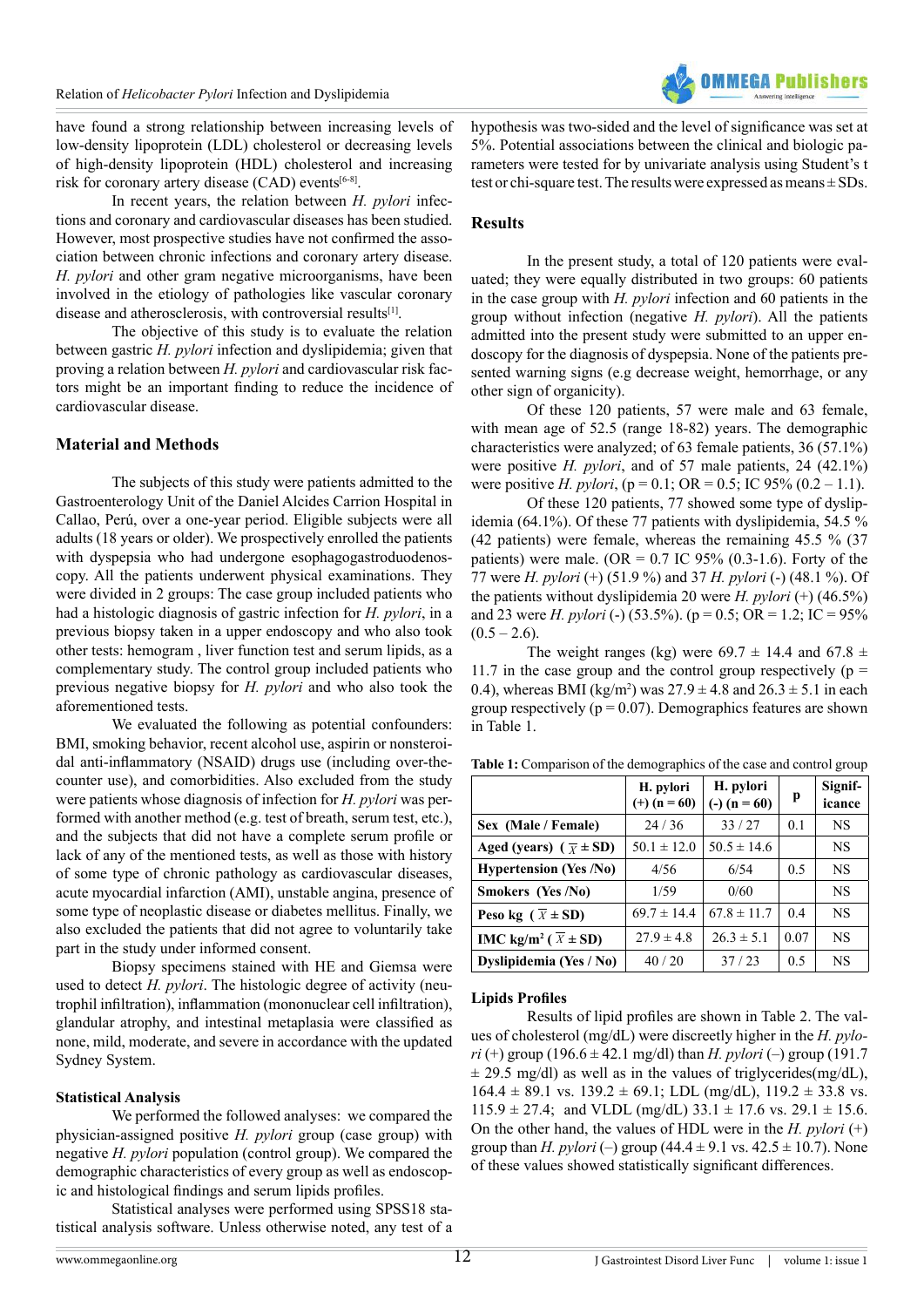

have found a strong relationship between increasing levels of low-density lipoprotein (LDL) cholesterol or decreasing levels of high-density lipoprotein (HDL) cholesterol and increasing risk for coronary artery disease  $(CAD)$  events<sup>[\[6-8\]](#page-3-2)</sup>.

In recent years, the relation between *H. pylori* infections and coronary and cardiovascular diseases has been studied. However, most prospective studies have not confirmed the association between chronic infections and coronary artery disease. *H. pylori* and other gram negative microorganisms, have been involved in the etiology of pathologies like vascular coronary disease and atherosclerosis, with controversial results<sup>[\[1\]](#page-3-0)</sup>.

The objective of this study is to evaluate the relation between gastric *H. pylori* infection and dyslipidemia; given that proving a relation between *H. pylori* and cardiovascular risk factors might be an important finding to reduce the incidence of cardiovascular disease.

## **Material and Methods**

The subjects of this study were patients admitted to the Gastroenterology Unit of the Daniel Alcides Carrion Hospital in Callao, Perú, over a one-year period. Eligible subjects were all adults (18 years or older). We prospectively enrolled the patients with dyspepsia who had undergone esophagogastroduodenoscopy. All the patients underwent physical examinations. They were divided in 2 groups: The case group included patients who had a histologic diagnosis of gastric infection for *H. pylori*, in a previous biopsy taken in a upper endoscopy and who also took other tests: hemogram , liver function test and serum lipids, as a complementary study. The control group included patients who previous negative biopsy for *H. pylori* and who also took the aforementioned tests.

We evaluated the following as potential confounders: BMI, smoking behavior, recent alcohol use, aspirin or nonsteroidal anti-inflammatory (NSAID) drugs use (including over-thecounter use), and comorbidities. Also excluded from the study were patients whose diagnosis of infection for *H. pylori* was performed with another method (e.g. test of breath, serum test, etc.), and the subjects that did not have a complete serum profile or lack of any of the mentioned tests, as well as those with history of some type of chronic pathology as cardiovascular diseases, acute myocardial infarction (AMI), unstable angina, presence of some type of neoplastic disease or diabetes mellitus. Finally, we also excluded the patients that did not agree to voluntarily take part in the study under informed consent.

Biopsy specimens stained with HE and Giemsa were used to detect *H. pylori*. The histologic degree of activity (neutrophil infiltration), inflammation (mononuclear cell infiltration), glandular atrophy, and intestinal metaplasia were classified as none, mild, moderate, and severe in accordance with the updated Sydney System.

#### **Statistical Analysis**

We performed the followed analyses: we compared the physician-assigned positive *H. pylori* group (case group) with negative *H. pylori* population (control group). We compared the demographic characteristics of every group as well as endoscopic and histological findings and serum lipids profiles.

Statistical analyses were performed using SPSS18 statistical analysis software. Unless otherwise noted, any test of a hypothesis was two-sided and the level of significance was set at 5%. Potential associations between the clinical and biologic parameters were tested for by univariate analysis using Student's t test or chi-square test. The results were expressed as means  $\pm$  SDs.

#### **Results**

In the present study, a total of 120 patients were evaluated; they were equally distributed in two groups: 60 patients in the case group with *H. pylori* infection and 60 patients in the group without infection (negative *H. pylori*). All the patients admitted into the present study were submitted to an upper endoscopy for the diagnosis of dyspepsia. None of the patients presented warning signs (e.g decrease weight, hemorrhage, or any other sign of organicity).

Of these 120 patients, 57 were male and 63 female, with mean age of 52.5 (range 18-82) years. The demographic characteristics were analyzed; of 63 female patients, 36 (57.1%) were positive *H. pylori*, and of 57 male patients, 24 (42.1%) were positive *H. pylori*, ( $p = 0.1$ ; OR = 0.5; IC 95% (0.2 – 1.1).

Of these 120 patients, 77 showed some type of dyslipidemia (64.1%). Of these 77 patients with dyslipidemia, 54.5 % (42 patients) were female, whereas the remaining 45.5 % (37 patients) were male. (OR =  $0.7$  IC 95% (0.3-1.6). Forty of the 77 were *H. pylori* (+) (51.9 %) and 37 *H. pylori* (-) (48.1 %). Of the patients without dyslipidemia 20 were *H. pylori* (+) (46.5%) and 23 were *H. pylori* (-) (53.5%). (p = 0.5; OR = 1.2; IC = 95%  $(0.5 - 2.6)$ .

The weight ranges (kg) were  $69.7 \pm 14.4$  and  $67.8 \pm 14.4$ 11.7 in the case group and the control group respectively ( $p =$ 0.4), whereas BMI (kg/m<sup>2</sup>) was  $27.9 \pm 4.8$  and  $26.3 \pm 5.1$  in each group respectively ( $p = 0.07$ ). Demographics features are shown in Table 1.

|                                              | H. pylori<br>$(+)$ (n = 60) | H. pylori<br>$(-) (n = 60)$ | p              | Signif-<br>icance |
|----------------------------------------------|-----------------------------|-----------------------------|----------------|-------------------|
| Sex (Male / Female)                          | 24/36                       | 33/27                       | 0.1            | <b>NS</b>         |
| Aged (years) $(\overline{x} \pm SD)$         | $50.1 \pm 12.0$             | $50.5 \pm 14.6$             |                | <b>NS</b>         |
| <b>Hypertension (Yes /No)</b>                | 4/56                        | 6/54                        | 0 <sub>5</sub> | <b>NS</b>         |
| Smokers (Yes /No)                            | 1/59                        | 0/60                        |                | <b>NS</b>         |
| Peso kg ( $\overline{X}$ ± SD)               | $69.7 \pm 14.4$             | $67.8 \pm 11.7$             | 0 <sub>4</sub> | NS                |
| IMC kg/m <sup>2</sup> ( $\overline{X}$ ± SD) | $27.9 \pm 4.8$              | $26.3 \pm 5.1$              | 0.07           | <b>NS</b>         |
| Dyslipidemia (Yes / No)                      | 40/20                       | 37/23                       | 0.5            | <b>NS</b>         |

**Table 1:** Comparison of the demographics of the case and control group

#### **Lipids Profiles**

Results of lipid profiles are shown in Table 2. The values of cholesterol (mg/dL) were discreetly higher in the *H. pylori* (+) group (196.6  $\pm$  42.1 mg/dl) than *H. pylori* (-) group (191.7  $\pm$  29.5 mg/dl) as well as in the values of triglycerides(mg/dL),  $164.4 \pm 89.1$  vs.  $139.2 \pm 69.1$ ; LDL (mg/dL),  $119.2 \pm 33.8$  vs.  $115.9 \pm 27.4$ ; and VLDL (mg/dL)  $33.1 \pm 17.6$  vs.  $29.1 \pm 15.6$ . On the other hand, the values of HDL were in the *H. pylori* (+) group than *H. pylori* (–) group  $(44.4 \pm 9.1 \text{ vs. } 42.5 \pm 10.7)$ . None of these values showed statistically significant differences.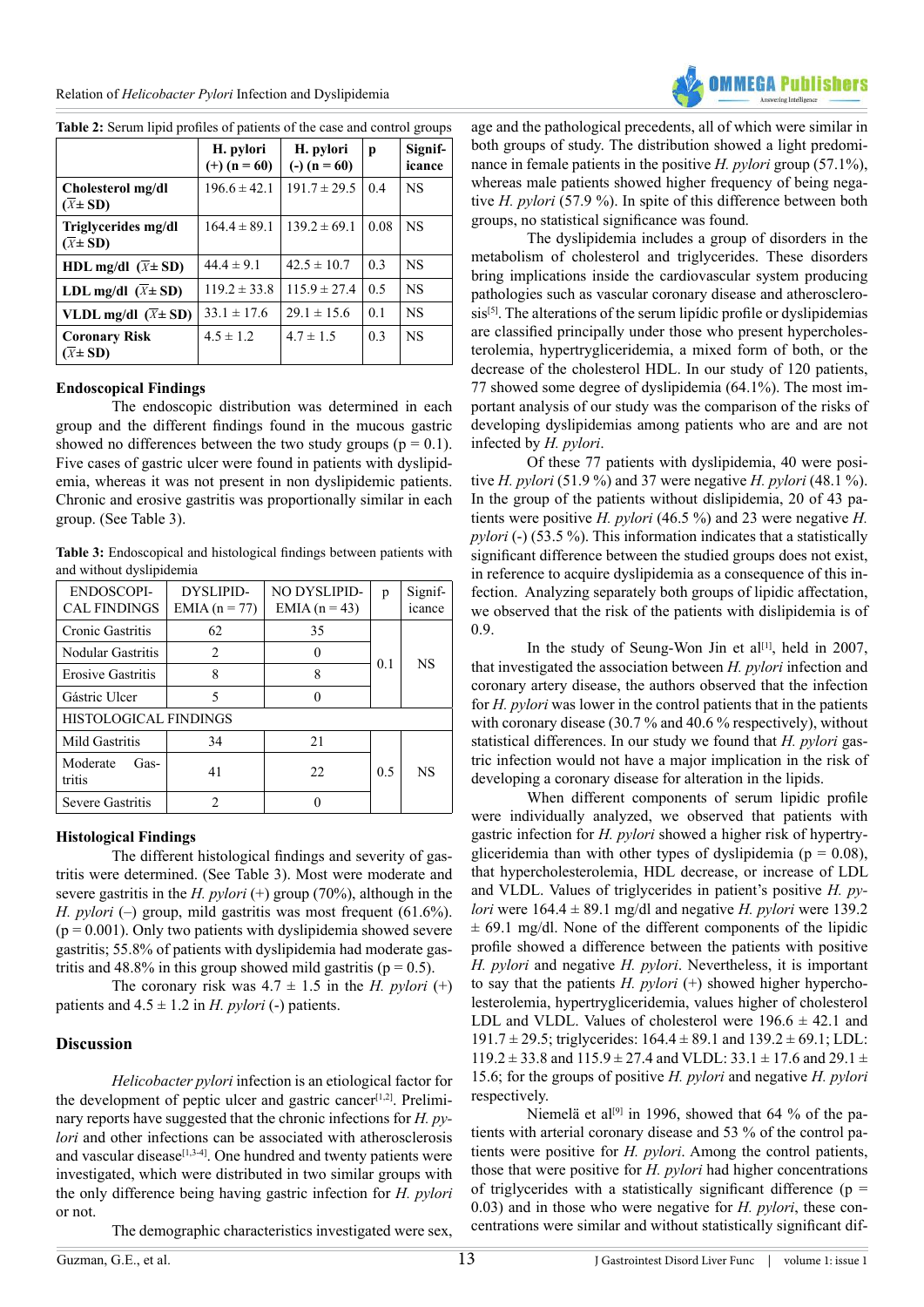Relation of *Helicobacter Pylori* Infection and Dyslipidemia



**Table 2:** Serum lipid profiles of patients of the case and control groups

|                                                | H. pylori<br>$(+)$ (n = 60) | H. pylori<br>$(-) (n = 60)$ | p    | Signif-<br>icance |
|------------------------------------------------|-----------------------------|-----------------------------|------|-------------------|
| Cholesterol mg/dl<br>$(\overline{X} \pm SD)$   | $196.6 \pm 42.1$            | $191.7 \pm 29.5$            | 0.4  | <b>NS</b>         |
| Triglycerides mg/dl<br>$(\overline{X} \pm SD)$ | $164.4 \pm 89.1$            | $139.2 \pm 69.1$            | 0.08 | <b>NS</b>         |
| HDL mg/dl $(\overline{x} \pm SD)$              | $44.4 \pm 9.1$              | $42.5 \pm 10.7$             | 0.3  | <b>NS</b>         |
| LDL mg/dl $(X \pm SD)$                         | $119.2 \pm 33.8$            | $115.9 \pm 27.4$            | 0.5  | <b>NS</b>         |
| VLDL mg/dl $(\overline{x} \pm SD)$             | $33.1 \pm 17.6$             | $29.1 \pm 15.6$             | 0.1  | <b>NS</b>         |
| <b>Coronary Risk</b><br>$(X \pm SD)$           | $4.5 \pm 1.2$               | $4.7 \pm 1.5$               | 0.3  | <b>NS</b>         |

#### **Endoscopical Findings**

Ī

The endoscopic distribution was determined in each group and the different findings found in the mucous gastric showed no differences between the two study groups ( $p = 0.1$ ). Five cases of gastric ulcer were found in patients with dyslipidemia, whereas it was not present in non dyslipidemic patients. Chronic and erosive gastritis was proportionally similar in each group. (See Table 3).

**Table 3:** Endoscopical and histological findings between patients with and without dyslipidemia

| ENDOSCOPI-<br><b>CAL FINDINGS</b> | DYSLIPID-<br>$EMIA(n = 77)$ | NO DYSLIPID-<br>EMIA $(n = 43)$ | p   | Signif-<br>icance |  |  |
|-----------------------------------|-----------------------------|---------------------------------|-----|-------------------|--|--|
| Cronic Gastritis                  | 62                          | 35                              |     |                   |  |  |
| Nodular Gastritis                 | $\mathfrak{D}$              |                                 |     | <b>NS</b>         |  |  |
| <b>Erosive Gastritis</b>          | 8                           | 8                               | 0.1 |                   |  |  |
| Gástric Ulcer                     | 5                           |                                 |     |                   |  |  |
| HISTOLOGICAL FINDINGS             |                             |                                 |     |                   |  |  |
| Mild Gastritis                    | 34                          | 21                              |     |                   |  |  |
| Moderate<br>Gas-<br>tritis        | 41                          | 22.                             | 0.5 | <b>NS</b>         |  |  |
| Severe Gastritis                  | 2                           |                                 |     |                   |  |  |

## **Histological Findings**

The different histological findings and severity of gastritis were determined. (See Table 3). Most were moderate and severe gastritis in the *H. pylori*  $(+)$  group  $(70\%)$ , although in the *H. pylori* (–) group, mild gastritis was most frequent (61.6%).  $(p = 0.001)$ . Only two patients with dyslipidemia showed severe gastritis; 55.8% of patients with dyslipidemia had moderate gastritis and 48.8% in this group showed mild gastritis ( $p = 0.5$ ).

The coronary risk was  $4.7 \pm 1.5$  in the *H. pylori* (+) patients and  $4.5 \pm 1.2$  in *H. pylori* (-) patients.

## **Discussion**

*Helicobacter pylori* infection is an etiological factor for the development of peptic ulcer and gastric cancer<sup>[\[1,2\]](#page-3-0)</sup>. Preliminary reports have suggested that the chronic infections for *H. pylori* and other infections can be associated with atherosclerosis and vascular disease<sup>[\[1,3-4\]](#page-3-0)</sup>. One hundred and twenty patients were investigated, which were distributed in two similar groups with the only difference being having gastric infection for *H. pylori* or not.

The demographic characteristics investigated were sex,

age and the pathological precedents, all of which were similar in both groups of study. The distribution showed a light predominance in female patients in the positive *H. pylori* group (57.1%), whereas male patients showed higher frequency of being negative *H. pylori* (57.9 %). In spite of this difference between both groups, no statistical significance was found.

The dyslipidemia includes a group of disorders in the metabolism of cholesterol and triglycerides. These disorders bring implications inside the cardiovascular system producing pathologies such as vascular coronary disease and atherosclero $sis^{[5]}$ . The alterations of the serum lipídic profile or dyslipidemias are classified principally under those who present hypercholesterolemia, hypertrygliceridemia, a mixed form of both, or the decrease of the cholesterol HDL. In our study of 120 patients, 77 showed some degree of dyslipidemia (64.1%). The most important analysis of our study was the comparison of the risks of developing dyslipidemias among patients who are and are not infected by *H. pylori*.

Of these 77 patients with dyslipidemia, 40 were positive *H. pylori* (51.9 %) and 37 were negative *H. pylori* (48.1 %). In the group of the patients without dislipidemia, 20 of 43 patients were positive *H. pylori* (46.5 %) and 23 were negative *H. pylori* (-) (53.5 %). This information indicates that a statistically significant difference between the studied groups does not exist, in reference to acquire dyslipidemia as a consequence of this infection. Analyzing separately both groups of lipidic affectation, we observed that the risk of the patients with dislipidemia is of 0.9.

In the study of Seung-Won Jin et al<sup>[1]</sup>, held in 2007, that investigated the association between *H. pylori* infection and coronary artery disease, the authors observed that the infection for *H. pylori* was lower in the control patients that in the patients with coronary disease (30.7 % and 40.6 % respectively), without statistical differences. In our study we found that *H. pylori* gastric infection would not have a major implication in the risk of developing a coronary disease for alteration in the lipids.

When different components of serum lipidic profile were individually analyzed, we observed that patients with gastric infection for *H. pylori* showed a higher risk of hypertrygliceridemia than with other types of dyslipidemia ( $p = 0.08$ ), that hypercholesterolemia, HDL decrease, or increase of LDL and VLDL. Values of triglycerides in patient's positive *H. pylori* were  $164.4 \pm 89.1$  mg/dl and negative *H. pylori* were 139.2  $\pm$  69.1 mg/dl. None of the different components of the lipidic profile showed a difference between the patients with positive *H. pylori* and negative *H. pylori*. Nevertheless, it is important to say that the patients *H. pylori* (+) showed higher hypercholesterolemia, hypertrygliceridemia, values higher of cholesterol LDL and VLDL. Values of cholesterol were  $196.6 \pm 42.1$  and 191.7  $\pm$  29.5; triglycerides: 164.4  $\pm$  89.1 and 139.2  $\pm$  69.1; LDL:  $119.2 \pm 33.8$  and  $115.9 \pm 27.4$  and VLDL:  $33.1 \pm 17.6$  and  $29.1 \pm 17.6$ 15.6; for the groups of positive *H. pylori* and negative *H. pylori* respectively.

Niemelä et al<sup>[\[9\]](#page-3-3)</sup> in 1996, showed that 64 % of the patients with arterial coronary disease and 53 % of the control patients were positive for *H. pylori*. Among the control patients, those that were positive for *H. pylori* had higher concentrations of triglycerides with a statistically significant difference ( $p =$ 0.03) and in those who were negative for *H. pylori*, these concentrations were similar and without statistically significant dif-